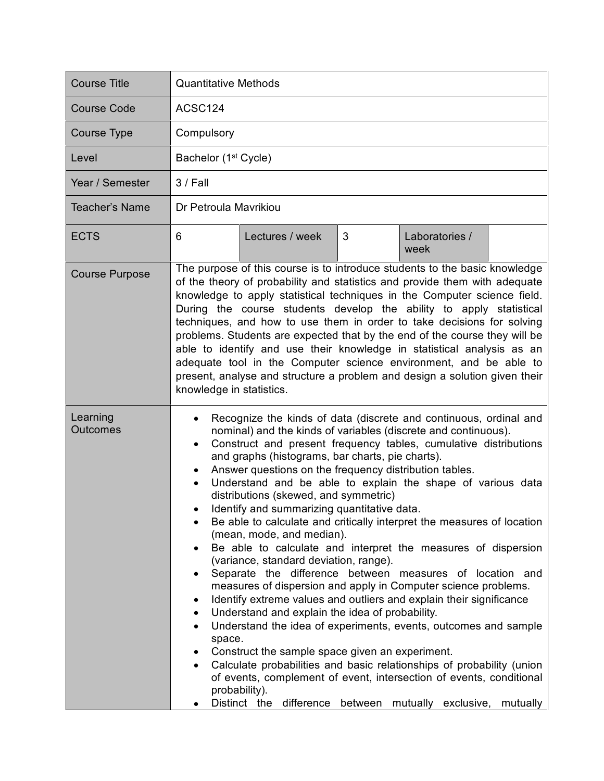| <b>Course Title</b>         | <b>Quantitative Methods</b>                                                                                                                                                                                                                                                                                                                                                                                                                                                                                                                                                                                                                                                                                                                                                                                                                                                                                                                                                                                                                                                                                                                                                                                                                                                                                                                                                                        |  |  |
|-----------------------------|----------------------------------------------------------------------------------------------------------------------------------------------------------------------------------------------------------------------------------------------------------------------------------------------------------------------------------------------------------------------------------------------------------------------------------------------------------------------------------------------------------------------------------------------------------------------------------------------------------------------------------------------------------------------------------------------------------------------------------------------------------------------------------------------------------------------------------------------------------------------------------------------------------------------------------------------------------------------------------------------------------------------------------------------------------------------------------------------------------------------------------------------------------------------------------------------------------------------------------------------------------------------------------------------------------------------------------------------------------------------------------------------------|--|--|
| <b>Course Code</b>          | ACSC124                                                                                                                                                                                                                                                                                                                                                                                                                                                                                                                                                                                                                                                                                                                                                                                                                                                                                                                                                                                                                                                                                                                                                                                                                                                                                                                                                                                            |  |  |
| <b>Course Type</b>          | Compulsory                                                                                                                                                                                                                                                                                                                                                                                                                                                                                                                                                                                                                                                                                                                                                                                                                                                                                                                                                                                                                                                                                                                                                                                                                                                                                                                                                                                         |  |  |
| Level                       | Bachelor (1 <sup>st</sup> Cycle)                                                                                                                                                                                                                                                                                                                                                                                                                                                                                                                                                                                                                                                                                                                                                                                                                                                                                                                                                                                                                                                                                                                                                                                                                                                                                                                                                                   |  |  |
| Year / Semester             | $3/$ Fall                                                                                                                                                                                                                                                                                                                                                                                                                                                                                                                                                                                                                                                                                                                                                                                                                                                                                                                                                                                                                                                                                                                                                                                                                                                                                                                                                                                          |  |  |
| <b>Teacher's Name</b>       | Dr Petroula Mavrikiou                                                                                                                                                                                                                                                                                                                                                                                                                                                                                                                                                                                                                                                                                                                                                                                                                                                                                                                                                                                                                                                                                                                                                                                                                                                                                                                                                                              |  |  |
| <b>ECTS</b>                 | 3<br>Lectures / week<br>Laboratories /<br>6<br>week                                                                                                                                                                                                                                                                                                                                                                                                                                                                                                                                                                                                                                                                                                                                                                                                                                                                                                                                                                                                                                                                                                                                                                                                                                                                                                                                                |  |  |
| <b>Course Purpose</b>       | The purpose of this course is to introduce students to the basic knowledge<br>of the theory of probability and statistics and provide them with adequate<br>knowledge to apply statistical techniques in the Computer science field.<br>During the course students develop the ability to apply statistical<br>techniques, and how to use them in order to take decisions for solving<br>problems. Students are expected that by the end of the course they will be<br>able to identify and use their knowledge in statistical analysis as an<br>adequate tool in the Computer science environment, and be able to<br>present, analyse and structure a problem and design a solution given their<br>knowledge in statistics.                                                                                                                                                                                                                                                                                                                                                                                                                                                                                                                                                                                                                                                                       |  |  |
| Learning<br><b>Outcomes</b> | Recognize the kinds of data (discrete and continuous, ordinal and<br>nominal) and the kinds of variables (discrete and continuous).<br>Construct and present frequency tables, cumulative distributions<br>$\bullet$<br>and graphs (histograms, bar charts, pie charts).<br>Answer questions on the frequency distribution tables.<br>٠<br>Understand and be able to explain the shape of various data<br>$\bullet$<br>distributions (skewed, and symmetric)<br>Identify and summarizing quantitative data.<br>Be able to calculate and critically interpret the measures of location<br>(mean, mode, and median).<br>Be able to calculate and interpret the measures of dispersion<br>$\bullet$<br>(variance, standard deviation, range).<br>Separate the difference between measures of location and<br>measures of dispersion and apply in Computer science problems.<br>Identify extreme values and outliers and explain their significance<br>٠<br>Understand and explain the idea of probability.<br>$\bullet$<br>Understand the idea of experiments, events, outcomes and sample<br>$\bullet$<br>space.<br>Construct the sample space given an experiment.<br>Calculate probabilities and basic relationships of probability (union<br>of events, complement of event, intersection of events, conditional<br>probability).<br>Distinct the difference between mutually exclusive, mutually |  |  |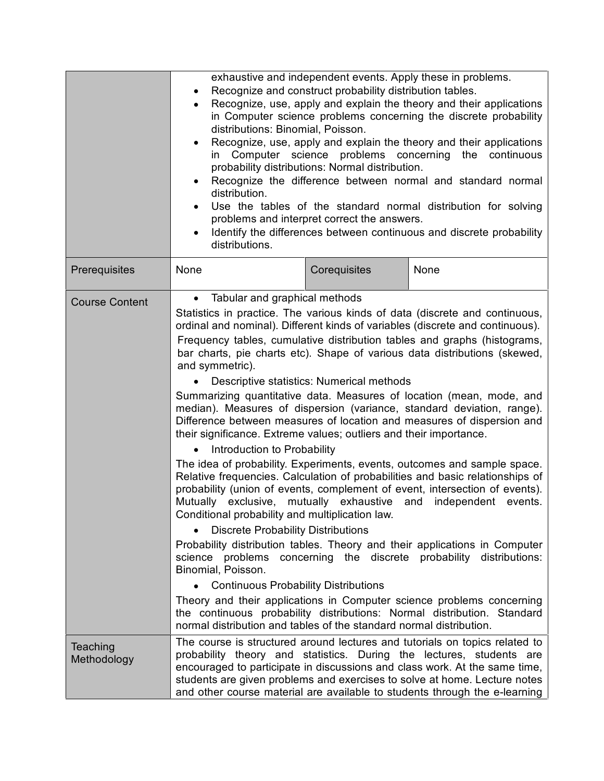|                         | exhaustive and independent events. Apply these in problems.<br>Recognize and construct probability distribution tables.<br>$\bullet$<br>Recognize, use, apply and explain the theory and their applications<br>$\bullet$<br>in Computer science problems concerning the discrete probability<br>distributions: Binomial, Poisson.<br>Recognize, use, apply and explain the theory and their applications<br>$\bullet$<br>Computer science problems concerning<br>the continuous<br>$\mathsf{In}$<br>probability distributions: Normal distribution.<br>Recognize the difference between normal and standard normal<br>$\bullet$<br>distribution.<br>Use the tables of the standard normal distribution for solving<br>problems and interpret correct the answers.<br>Identify the differences between continuous and discrete probability<br>distributions.                                                                                                                                                                                                                                                                                                                                                                                                                                                                                                                                                                                                                                                                                                                                                                                                                                                                          |              |                                                                                                                                                                                                                                                                                                               |
|-------------------------|--------------------------------------------------------------------------------------------------------------------------------------------------------------------------------------------------------------------------------------------------------------------------------------------------------------------------------------------------------------------------------------------------------------------------------------------------------------------------------------------------------------------------------------------------------------------------------------------------------------------------------------------------------------------------------------------------------------------------------------------------------------------------------------------------------------------------------------------------------------------------------------------------------------------------------------------------------------------------------------------------------------------------------------------------------------------------------------------------------------------------------------------------------------------------------------------------------------------------------------------------------------------------------------------------------------------------------------------------------------------------------------------------------------------------------------------------------------------------------------------------------------------------------------------------------------------------------------------------------------------------------------------------------------------------------------------------------------------------------------|--------------|---------------------------------------------------------------------------------------------------------------------------------------------------------------------------------------------------------------------------------------------------------------------------------------------------------------|
| Prerequisites           | None                                                                                                                                                                                                                                                                                                                                                                                                                                                                                                                                                                                                                                                                                                                                                                                                                                                                                                                                                                                                                                                                                                                                                                                                                                                                                                                                                                                                                                                                                                                                                                                                                                                                                                                                 | Corequisites | None                                                                                                                                                                                                                                                                                                          |
| <b>Course Content</b>   | Tabular and graphical methods<br>$\bullet$<br>Statistics in practice. The various kinds of data (discrete and continuous,<br>ordinal and nominal). Different kinds of variables (discrete and continuous).<br>Frequency tables, cumulative distribution tables and graphs (histograms,<br>bar charts, pie charts etc). Shape of various data distributions (skewed,<br>and symmetric).<br>Descriptive statistics: Numerical methods<br>Summarizing quantitative data. Measures of location (mean, mode, and<br>median). Measures of dispersion (variance, standard deviation, range).<br>Difference between measures of location and measures of dispersion and<br>their significance. Extreme values; outliers and their importance.<br>Introduction to Probability<br>The idea of probability. Experiments, events, outcomes and sample space.<br>Relative frequencies. Calculation of probabilities and basic relationships of<br>probability (union of events, complement of event, intersection of events).<br>Mutually exclusive, mutually exhaustive and independent events.<br>Conditional probability and multiplication law.<br><b>Discrete Probability Distributions</b><br>$\bullet$<br>Probability distribution tables. Theory and their applications in Computer<br>science problems concerning the discrete probability distributions:<br>Binomial, Poisson.<br><b>Continuous Probability Distributions</b><br>Theory and their applications in Computer science problems concerning<br>the continuous probability distributions: Normal distribution. Standard<br>normal distribution and tables of the standard normal distribution.<br>The course is structured around lectures and tutorials on topics related to |              |                                                                                                                                                                                                                                                                                                               |
| Teaching<br>Methodology |                                                                                                                                                                                                                                                                                                                                                                                                                                                                                                                                                                                                                                                                                                                                                                                                                                                                                                                                                                                                                                                                                                                                                                                                                                                                                                                                                                                                                                                                                                                                                                                                                                                                                                                                      |              | probability theory and statistics. During the lectures, students are<br>encouraged to participate in discussions and class work. At the same time,<br>students are given problems and exercises to solve at home. Lecture notes<br>and other course material are available to students through the e-learning |